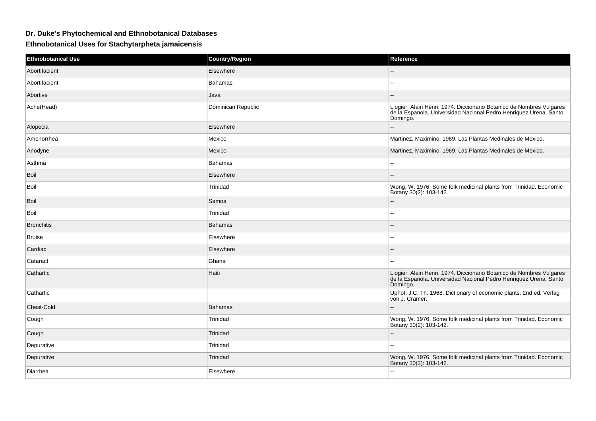## **Dr. Duke's Phytochemical and Ethnobotanical Databases**

## **Ethnobotanical Uses for Stachytarpheta jamaicensis**

| <b>Ethnobotanical Use</b> | <b>Country/Region</b> | Reference                                                                                                                                             |
|---------------------------|-----------------------|-------------------------------------------------------------------------------------------------------------------------------------------------------|
| Abortifacient             | Elsewhere             |                                                                                                                                                       |
| Abortifacient             | Bahamas               |                                                                                                                                                       |
| Abortive                  | Java                  |                                                                                                                                                       |
| Ache(Head)                | Dominican Republic    | Liogier, Alain Henri. 1974. Diccionario Botanico de Nombres Vulgares<br>de la Espanola. Universidad Nacional Pedro Henriquez Urena, Santo<br>Domingo. |
| Alopecia                  | Elsewhere             |                                                                                                                                                       |
| Amenorrhea                | Mexico                | Martinez, Maximino. 1969. Las Plantas Medinales de Mexico.                                                                                            |
| Anodyne                   | Mexico                | Martinez, Maximino. 1969. Las Plantas Medinales de Mexico.                                                                                            |
| Asthma                    | <b>Bahamas</b>        | $\sim$                                                                                                                                                |
| <b>Boil</b>               | Elsewhere             |                                                                                                                                                       |
| <b>Boil</b>               | Trinidad              | Wong, W. 1976. Some folk medicinal plants from Trinidad. Economic<br>Botany 30(2): 103-142.                                                           |
| Boil                      | Samoa                 | $-$                                                                                                                                                   |
| Boil                      | Trinidad              | $\sim$                                                                                                                                                |
| <b>Bronchitis</b>         | <b>Bahamas</b>        |                                                                                                                                                       |
| <b>Bruise</b>             | Elsewhere             | --                                                                                                                                                    |
| Cardiac                   | Elsewhere             | --                                                                                                                                                    |
| Cataract                  | Ghana                 | --                                                                                                                                                    |
| Cathartic                 | Haiti                 | Liogier, Alain Henri. 1974. Diccionario Botanico de Nombres Vulgares<br>de la Espanola. Universidad Nacional Pedro Henriquez Urena, Santo<br>Domingo. |
| Cathartic                 |                       | Uphof, J.C. Th. 1968. Dictionary of economic plants. 2nd ed. Verlag<br>von J. Cramer.                                                                 |
| Chest-Cold                | <b>Bahamas</b>        |                                                                                                                                                       |
| Cough                     | Trinidad              | Wong, W. 1976. Some folk medicinal plants from Trinidad. Economic<br>Botany 30(2): 103-142.                                                           |
| Cough                     | Trinidad              |                                                                                                                                                       |
| Depurative                | Trinidad              | $\overline{a}$                                                                                                                                        |
| Depurative                | Trinidad              | Wong, W. 1976. Some folk medicinal plants from Trinidad. Economic<br>Botany 30(2): 103-142.                                                           |
| Diarrhea                  | Elsewhere             | ۵۵                                                                                                                                                    |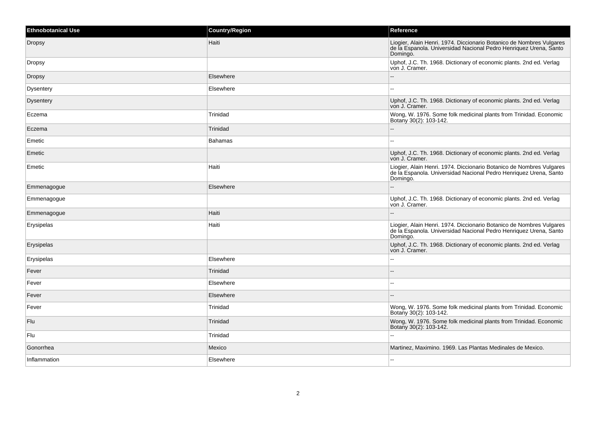| <b>Ethnobotanical Use</b> | <b>Country/Region</b> | <b>Reference</b>                                                                                                                                      |
|---------------------------|-----------------------|-------------------------------------------------------------------------------------------------------------------------------------------------------|
| <b>Dropsy</b>             | Haiti                 | Liogier, Alain Henri. 1974. Diccionario Botanico de Nombres Vulgares<br>de la Espanola. Universidad Nacional Pedro Henriquez Urena, Santo<br>Domingo. |
| Dropsy                    |                       | Uphof, J.C. Th. 1968. Dictionary of economic plants. 2nd ed. Verlag<br>von J. Cramer.                                                                 |
| Dropsy                    | Elsewhere             | $\overline{a}$                                                                                                                                        |
| Dysentery                 | Elsewhere             | $\overline{\phantom{a}}$                                                                                                                              |
| Dysentery                 |                       | Uphof, J.C. Th. 1968. Dictionary of economic plants. 2nd ed. Verlag<br>von J. Cramer.                                                                 |
| Eczema                    | Trinidad              | Wong, W. 1976. Some folk medicinal plants from Trinidad. Economic<br>Botany 30(2): 103-142.                                                           |
| Eczema                    | Trinidad              | --                                                                                                                                                    |
| Emetic                    | <b>Bahamas</b>        | ۵.                                                                                                                                                    |
| Emetic                    |                       | Uphof, J.C. Th. 1968. Dictionary of economic plants. 2nd ed. Verlag<br>von J. Cramer.                                                                 |
| Emetic                    | Haiti                 | Liogier, Alain Henri. 1974. Diccionario Botanico de Nombres Vulgares<br>de la Espanola. Universidad Nacional Pedro Henriquez Urena, Santo<br>Domingo. |
| Emmenagogue               | Elsewhere             |                                                                                                                                                       |
| Emmenagogue               |                       | Uphof, J.C. Th. 1968. Dictionary of economic plants. 2nd ed. Verlag<br>von J. Cramer.                                                                 |
| Emmenagogue               | Haiti                 |                                                                                                                                                       |
| Erysipelas                | Haiti                 | Liogier, Alain Henri. 1974. Diccionario Botanico de Nombres Vulgares<br>de la Espanola. Universidad Nacional Pedro Henriquez Urena, Santo<br>Domingo. |
| Erysipelas                |                       | Uphof, J.C. Th. 1968. Dictionary of economic plants. 2nd ed. Verlag<br>von J. Cramer.                                                                 |
| Erysipelas                | Elsewhere             | $\sim$                                                                                                                                                |
| Fever                     | Trinidad              |                                                                                                                                                       |
| Fever                     | Elsewhere             | $\sim$                                                                                                                                                |
| Fever                     | Elsewhere             |                                                                                                                                                       |
| Fever                     | Trinidad              | Wong, W. 1976. Some folk medicinal plants from Trinidad. Economic<br>Botany 30(2): 103-142.                                                           |
| Flu                       | Trinidad              | Wong, W. 1976. Some folk medicinal plants from Trinidad. Economic<br>Botany 30(2): 103-142.                                                           |
| Flu                       | Trinidad              | $\overline{a}$                                                                                                                                        |
| Gonorrhea                 | Mexico                | Martinez, Maximino. 1969. Las Plantas Medinales de Mexico.                                                                                            |
| Inflammation              | Elsewhere             |                                                                                                                                                       |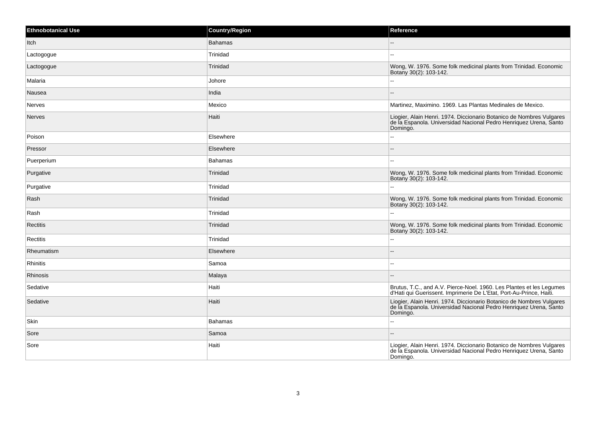| <b>Ethnobotanical Use</b> | <b>Country/Region</b> | Reference                                                                                                                                             |
|---------------------------|-----------------------|-------------------------------------------------------------------------------------------------------------------------------------------------------|
| Itch                      | <b>Bahamas</b>        | --                                                                                                                                                    |
| Lactogogue                | Trinidad              |                                                                                                                                                       |
| Lactogogue                | Trinidad              | Wong, W. 1976. Some folk medicinal plants from Trinidad. Economic<br>Botany 30(2): 103-142.                                                           |
| Malaria                   | Johore                |                                                                                                                                                       |
| Nausea                    | India                 | --                                                                                                                                                    |
| Nerves                    | Mexico                | Martinez, Maximino. 1969. Las Plantas Medinales de Mexico.                                                                                            |
| Nerves                    | Haiti                 | Liogier, Alain Henri. 1974. Diccionario Botanico de Nombres Vulgares<br>de la Espanola. Universidad Nacional Pedro Henriquez Urena, Santo<br>Domingo. |
| Poison                    | Elsewhere             | --                                                                                                                                                    |
| Pressor                   | Elsewhere             |                                                                                                                                                       |
| Puerperium                | <b>Bahamas</b>        | Щ,                                                                                                                                                    |
| Purgative                 | Trinidad              | Wong, W. 1976. Some folk medicinal plants from Trinidad. Economic<br>Botany 30(2): 103-142.                                                           |
| Purgative                 | Trinidad              | L.                                                                                                                                                    |
| Rash                      | Trinidad              | Wong, W. 1976. Some folk medicinal plants from Trinidad. Economic<br>Botany 30(2): 103-142.                                                           |
| Rash                      | Trinidad              | ۵.                                                                                                                                                    |
| Rectitis                  | Trinidad              | Wong, W. 1976. Some folk medicinal plants from Trinidad. Economic<br>Botany 30(2): 103-142.                                                           |
| Rectitis                  | Trinidad              | Щ,                                                                                                                                                    |
| Rheumatism                | Elsewhere             |                                                                                                                                                       |
| <b>Rhinitis</b>           | Samoa                 | ۵۵                                                                                                                                                    |
| Rhinosis                  | Malaya                |                                                                                                                                                       |
| Sedative                  | Haiti                 | Brutus, T.C., and A.V. Pierce-Noel. 1960. Les Plantes et les Legumes<br>d'Hati qui Guerissent. Imprimerie De L'Etat, Port-Au-Prince, Haiti.           |
| Sedative                  | Haiti                 | Liogier, Alain Henri. 1974. Diccionario Botanico de Nombres Vulgares<br>de la Espanola. Universidad Nacional Pedro Henriquez Urena, Santo<br>Domingo. |
| Skin                      | <b>Bahamas</b>        | --                                                                                                                                                    |
| Sore                      | Samoa                 |                                                                                                                                                       |
| Sore                      | Haiti                 | Liogier, Alain Henri. 1974. Diccionario Botanico de Nombres Vulgares<br>de la Espanola. Universidad Nacional Pedro Henriquez Urena, Santo<br>Domingo. |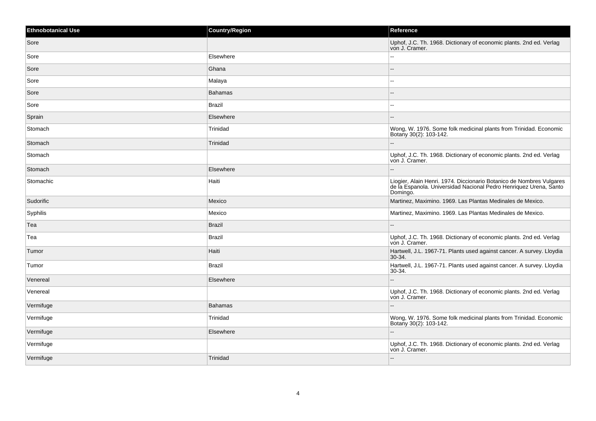| <b>Ethnobotanical Use</b> | <b>Country/Region</b> | Reference                                                                                                                                             |
|---------------------------|-----------------------|-------------------------------------------------------------------------------------------------------------------------------------------------------|
| Sore                      |                       | Uphof, J.C. Th. 1968. Dictionary of economic plants. 2nd ed. Verlag<br>von J. Cramer.                                                                 |
| Sore                      | Elsewhere             | ۵.                                                                                                                                                    |
| Sore                      | Ghana                 |                                                                                                                                                       |
| Sore                      | Malaya                | $\sim$                                                                                                                                                |
| Sore                      | <b>Bahamas</b>        |                                                                                                                                                       |
| Sore                      | Brazil                | $\overline{\phantom{a}}$                                                                                                                              |
| Sprain                    | Elsewhere             | $- -$                                                                                                                                                 |
| Stomach                   | Trinidad              | Wong, W. 1976. Some folk medicinal plants from Trinidad. Economic<br>Botany 30(2): 103-142.                                                           |
| Stomach                   | Trinidad              | $\sim$                                                                                                                                                |
| Stomach                   |                       | Uphof, J.C. Th. 1968. Dictionary of economic plants. 2nd ed. Verlag<br>von J. Cramer.                                                                 |
| Stomach                   | Elsewhere             |                                                                                                                                                       |
| Stomachic                 | Haiti                 | Liogier, Alain Henri. 1974. Diccionario Botanico de Nombres Vulgares<br>de la Espanola. Universidad Nacional Pedro Henriquez Urena, Santo<br>Domingo. |
| Sudorific                 | Mexico                | Martinez, Maximino. 1969. Las Plantas Medinales de Mexico.                                                                                            |
| Syphilis                  | Mexico                | Martinez, Maximino. 1969. Las Plantas Medinales de Mexico.                                                                                            |
| Tea                       | <b>Brazil</b>         | $-$                                                                                                                                                   |
| Tea                       | Brazil                | Uphof, J.C. Th. 1968. Dictionary of economic plants. 2nd ed. Verlag<br>von J. Cramer.                                                                 |
| Tumor                     | Haiti                 | Hartwell, J.L. 1967-71. Plants used against cancer. A survey. Lloydia<br>$ 30-34 $                                                                    |
| Tumor                     | <b>Brazil</b>         | Hartwell, J.L. 1967-71. Plants used against cancer. A survey. Lloydia<br>$30-34.$                                                                     |
| Venereal                  | Elsewhere             | $\sim$                                                                                                                                                |
| Venereal                  |                       | Uphof, J.C. Th. 1968. Dictionary of economic plants. 2nd ed. Verlag<br>von J. Cramer.                                                                 |
| Vermifuge                 | <b>Bahamas</b>        |                                                                                                                                                       |
| Vermifuge                 | Trinidad              | Wong, W. 1976. Some folk medicinal plants from Trinidad. Economic<br>Botany 30(2): 103-142.                                                           |
| Vermifuge                 | Elsewhere             |                                                                                                                                                       |
| Vermifuge                 |                       | Uphof, J.C. Th. 1968. Dictionary of economic plants. 2nd ed. Verlag<br>von J. Cramer.                                                                 |
| Vermifuge                 | Trinidad              | $\overline{\phantom{a}}$                                                                                                                              |